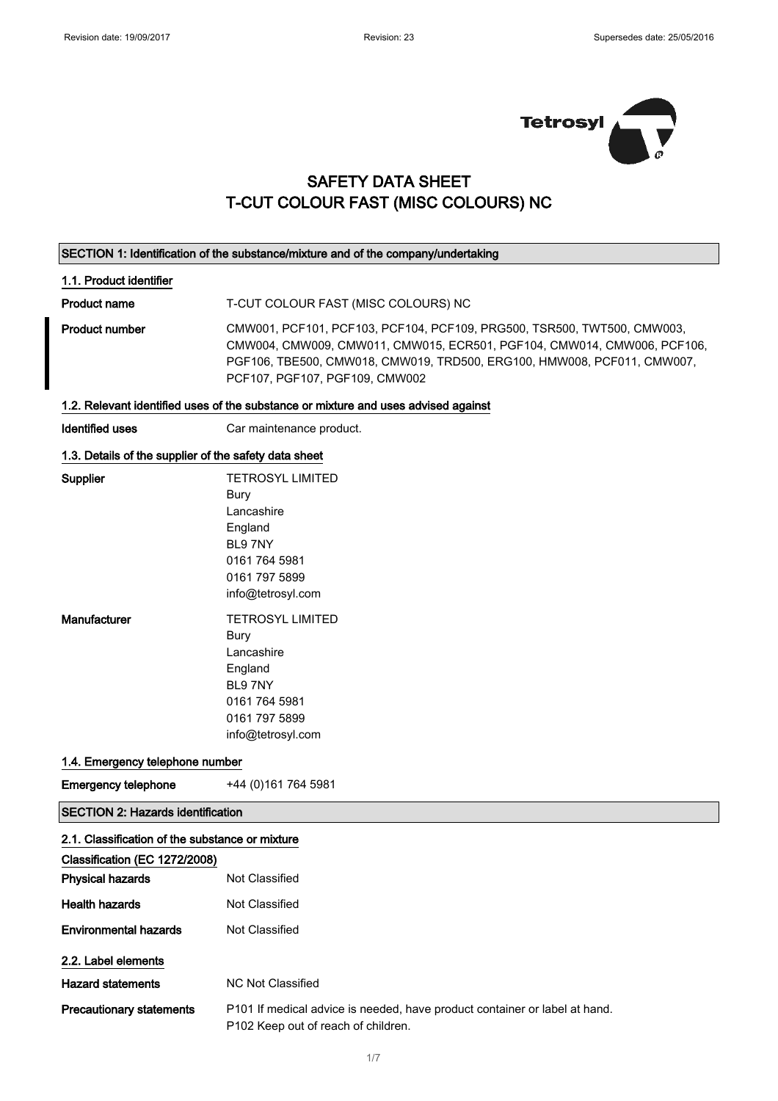

### SAFETY DATA SHEET T-CUT COLOUR FAST (MISC COLOURS) NC

#### SECTION 1: Identification of the substance/mixture and of the company/undertaking

#### 1.1. Product identifier

Product name T-CUT COLOUR FAST (MISC COLOURS) NC

Product number CMW001, PCF101, PCF103, PCF104, PCF109, PRG500, TSR500, TWT500, CMW003, CMW004, CMW009, CMW011, CMW015, ECR501, PGF104, CMW014, CMW006, PCF106, PGF106, TBE500, CMW018, CMW019, TRD500, ERG100, HMW008, PCF011, CMW007, PCF107, PGF107, PGF109, CMW002

#### 1.2. Relevant identified uses of the substance or mixture and uses advised against

Identified uses Car maintenance product.

#### 1.3. Details of the supplier of the safety data sheet

| Supplier     | <b>TETROSYL LIMITED</b> |
|--------------|-------------------------|
|              | Bury                    |
|              | Lancashire              |
|              | England                 |
|              | <b>BI 97NY</b>          |
|              | 0161 764 5981           |
|              | 0161 797 5899           |
|              | info@tetrosyl.com       |
|              |                         |
| Manufacturer | <b>TETROSYL LIMITED</b> |
|              | Bury                    |
|              | I ancashire             |
|              | England                 |
|              | BL97NY                  |
|              | 0161 764 5981           |
|              | 0161 797 5899           |
|              | info@tetrosyl.com       |

#### 1.4. Emergency telephone number

SECTION 2: Hazards identification

Emergency telephone  $+44(0)1617645981$ 

| 2.1. Classification of the substance or mixture |                                                                                                                   |  |
|-------------------------------------------------|-------------------------------------------------------------------------------------------------------------------|--|
| Classification (EC 1272/2008)                   |                                                                                                                   |  |
| <b>Physical hazards</b>                         | Not Classified                                                                                                    |  |
| <b>Health hazards</b>                           | Not Classified                                                                                                    |  |
| <b>Environmental hazards</b>                    | Not Classified                                                                                                    |  |
| 2.2. Label elements                             |                                                                                                                   |  |
| <b>Hazard statements</b>                        | NC Not Classified                                                                                                 |  |
| <b>Precautionary statements</b>                 | P101 If medical advice is needed, have product container or label at hand.<br>P102 Keep out of reach of children. |  |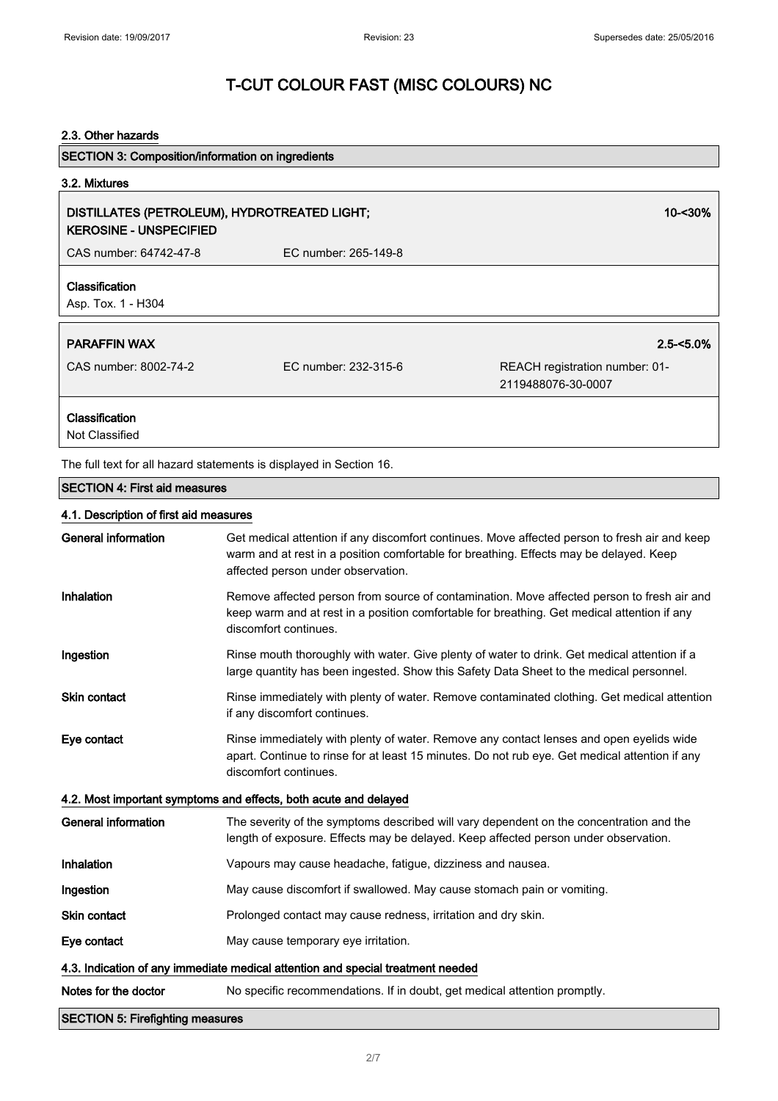#### 2.3. Other hazards

| <b>SECTION 3: Composition/information on ingredients</b>                      |                      |                                                      |
|-------------------------------------------------------------------------------|----------------------|------------------------------------------------------|
| 3.2. Mixtures                                                                 |                      |                                                      |
| DISTILLATES (PETROLEUM), HYDROTREATED LIGHT;<br><b>KEROSINE - UNSPECIFIED</b> |                      | 10-<30%                                              |
| CAS number: 64742-47-8                                                        | EC number: 265-149-8 |                                                      |
| Classification<br>Asp. Tox. 1 - H304                                          |                      |                                                      |
| <b>PARAFFIN WAX</b>                                                           |                      | $2.5 - 5.0\%$                                        |
| CAS number: 8002-74-2                                                         | EC number: 232-315-6 | REACH registration number: 01-<br>2119488076-30-0007 |
| Classification<br>Not Classified                                              |                      |                                                      |
| The full text for all hazard statements is displayed in Section 16.           |                      |                                                      |
| <b>SECTION 4: First aid measures</b>                                          |                      |                                                      |
| 4.1. Description of first aid measures                                        |                      |                                                      |

| General information                                                             | Get medical attention if any discomfort continues. Move affected person to fresh air and keep<br>warm and at rest in a position comfortable for breathing. Effects may be delayed. Keep<br>affected person under observation. |  |
|---------------------------------------------------------------------------------|-------------------------------------------------------------------------------------------------------------------------------------------------------------------------------------------------------------------------------|--|
| Inhalation                                                                      | Remove affected person from source of contamination. Move affected person to fresh air and<br>keep warm and at rest in a position comfortable for breathing. Get medical attention if any<br>discomfort continues.            |  |
| Ingestion                                                                       | Rinse mouth thoroughly with water. Give plenty of water to drink. Get medical attention if a<br>large quantity has been ingested. Show this Safety Data Sheet to the medical personnel.                                       |  |
| <b>Skin contact</b>                                                             | Rinse immediately with plenty of water. Remove contaminated clothing. Get medical attention<br>if any discomfort continues.                                                                                                   |  |
| Eye contact                                                                     | Rinse immediately with plenty of water. Remove any contact lenses and open eyelids wide<br>apart. Continue to rinse for at least 15 minutes. Do not rub eye. Get medical attention if any<br>discomfort continues.            |  |
| 4.2. Most important symptoms and effects, both acute and delayed                |                                                                                                                                                                                                                               |  |
| General information                                                             | The severity of the symptoms described will vary dependent on the concentration and the<br>length of exposure. Effects may be delayed. Keep affected person under observation.                                                |  |
| Inhalation                                                                      | Vapours may cause headache, fatigue, dizziness and nausea.                                                                                                                                                                    |  |
| Ingestion                                                                       | May cause discomfort if swallowed. May cause stomach pain or vomiting.                                                                                                                                                        |  |
| <b>Skin contact</b>                                                             | Prolonged contact may cause redness, irritation and dry skin.                                                                                                                                                                 |  |
| Eye contact                                                                     | May cause temporary eye irritation.                                                                                                                                                                                           |  |
| 4.3. Indication of any immediate medical attention and special treatment needed |                                                                                                                                                                                                                               |  |
| Notes for the doctor                                                            | No specific recommendations. If in doubt, get medical attention promptly.                                                                                                                                                     |  |
| <b>SECTION 5: Firefighting measures</b>                                         |                                                                                                                                                                                                                               |  |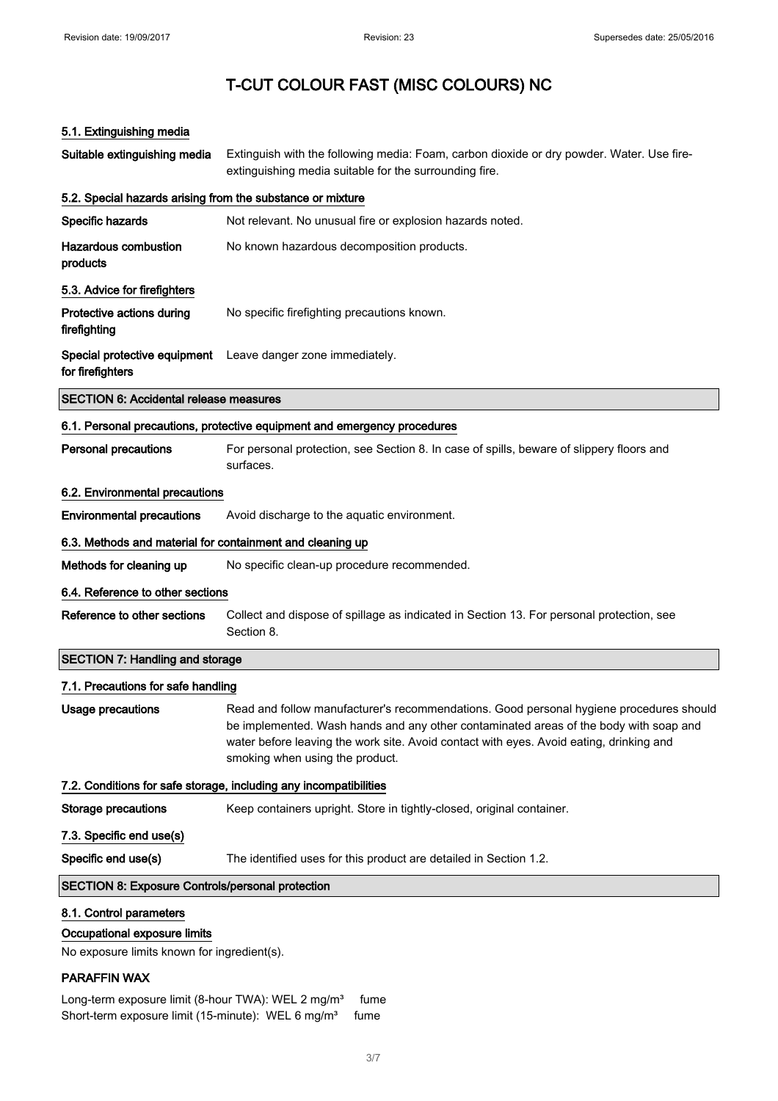#### 5.1. Extinguishing media

| Suitable extinguishing media                                                                           | Extinguish with the following media: Foam, carbon dioxide or dry powder. Water. Use fire-<br>extinguishing media suitable for the surrounding fire.                                                                                                                                                            |
|--------------------------------------------------------------------------------------------------------|----------------------------------------------------------------------------------------------------------------------------------------------------------------------------------------------------------------------------------------------------------------------------------------------------------------|
| 5.2. Special hazards arising from the substance or mixture                                             |                                                                                                                                                                                                                                                                                                                |
| <b>Specific hazards</b>                                                                                | Not relevant. No unusual fire or explosion hazards noted.                                                                                                                                                                                                                                                      |
| <b>Hazardous combustion</b><br>products                                                                | No known hazardous decomposition products.                                                                                                                                                                                                                                                                     |
| 5.3. Advice for firefighters                                                                           |                                                                                                                                                                                                                                                                                                                |
| Protective actions during<br>firefighting                                                              | No specific firefighting precautions known.                                                                                                                                                                                                                                                                    |
| for firefighters                                                                                       | Special protective equipment Leave danger zone immediately.                                                                                                                                                                                                                                                    |
| <b>SECTION 6: Accidental release measures</b>                                                          |                                                                                                                                                                                                                                                                                                                |
|                                                                                                        | 6.1. Personal precautions, protective equipment and emergency procedures                                                                                                                                                                                                                                       |
| <b>Personal precautions</b>                                                                            | For personal protection, see Section 8. In case of spills, beware of slippery floors and<br>surfaces.                                                                                                                                                                                                          |
| 6.2. Environmental precautions                                                                         |                                                                                                                                                                                                                                                                                                                |
| <b>Environmental precautions</b>                                                                       | Avoid discharge to the aquatic environment.                                                                                                                                                                                                                                                                    |
| 6.3. Methods and material for containment and cleaning up                                              |                                                                                                                                                                                                                                                                                                                |
| Methods for cleaning up                                                                                | No specific clean-up procedure recommended.                                                                                                                                                                                                                                                                    |
| 6.4. Reference to other sections                                                                       |                                                                                                                                                                                                                                                                                                                |
| Reference to other sections                                                                            | Collect and dispose of spillage as indicated in Section 13. For personal protection, see<br>Section 8.                                                                                                                                                                                                         |
| <b>SECTION 7: Handling and storage</b>                                                                 |                                                                                                                                                                                                                                                                                                                |
| 7.1. Precautions for safe handling                                                                     |                                                                                                                                                                                                                                                                                                                |
| <b>Usage precautions</b>                                                                               | Read and follow manufacturer's recommendations. Good personal hygiene procedures should<br>be implemented. Wash hands and any other contaminated areas of the body with soap and<br>water before leaving the work site. Avoid contact with eyes. Avoid eating, drinking and<br>smoking when using the product. |
|                                                                                                        | 7.2. Conditions for safe storage, including any incompatibilities                                                                                                                                                                                                                                              |
| <b>Storage precautions</b>                                                                             | Keep containers upright. Store in tightly-closed, original container.                                                                                                                                                                                                                                          |
| 7.3. Specific end use(s)                                                                               |                                                                                                                                                                                                                                                                                                                |
| Specific end use(s)                                                                                    | The identified uses for this product are detailed in Section 1.2.                                                                                                                                                                                                                                              |
| <b>SECTION 8: Exposure Controls/personal protection</b>                                                |                                                                                                                                                                                                                                                                                                                |
| 8.1. Control parameters<br>Occupational exposure limits<br>No exposure limits known for ingredient(s). |                                                                                                                                                                                                                                                                                                                |

#### PARAFFIN WAX

Long-term exposure limit (8-hour TWA): WEL 2 mg/m<sup>3</sup> fume Short-term exposure limit (15-minute): WEL 6 mg/m<sup>3</sup> fume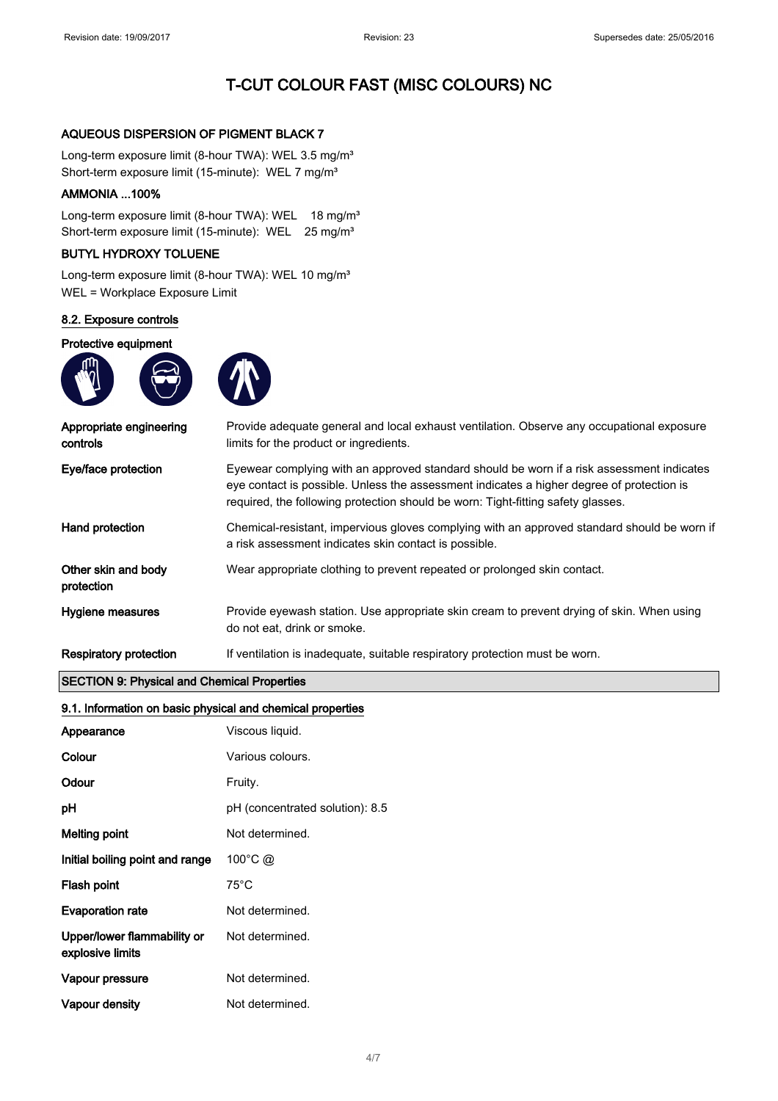#### AQUEOUS DISPERSION OF PIGMENT BLACK 7

Long-term exposure limit (8-hour TWA): WEL 3.5 mg/m<sup>3</sup> Short-term exposure limit (15-minute): WEL 7 mg/m<sup>3</sup>

#### AMMONIA ...100%

Long-term exposure limit (8-hour TWA): WEL 18 mg/m<sup>3</sup> Short-term exposure limit (15-minute): WEL 25 mg/m<sup>3</sup>

#### BUTYL HYDROXY TOLUENE

Long-term exposure limit (8-hour TWA): WEL 10 mg/m<sup>3</sup> WEL = Workplace Exposure Limit

#### 8.2. Exposure controls

#### Protective equipment





| Appropriate engineering<br>controls | Provide adequate general and local exhaust ventilation. Observe any occupational exposure<br>limits for the product or ingredients.                                                                                                                                        |
|-------------------------------------|----------------------------------------------------------------------------------------------------------------------------------------------------------------------------------------------------------------------------------------------------------------------------|
| Eye/face protection                 | Eyewear complying with an approved standard should be worn if a risk assessment indicates<br>eye contact is possible. Unless the assessment indicates a higher degree of protection is<br>required, the following protection should be worn: Tight-fitting safety glasses. |
| Hand protection                     | Chemical-resistant, impervious gloves complying with an approved standard should be worn if<br>a risk assessment indicates skin contact is possible.                                                                                                                       |
| Other skin and body<br>protection   | Wear appropriate clothing to prevent repeated or prolonged skin contact.                                                                                                                                                                                                   |
| Hygiene measures                    | Provide eyewash station. Use appropriate skin cream to prevent drying of skin. When using<br>do not eat, drink or smoke.                                                                                                                                                   |
| Respiratory protection              | If ventilation is inadequate, suitable respiratory protection must be worn.                                                                                                                                                                                                |

#### SECTION 9: Physical and Chemical Properties

#### 9.1. Information on basic physical and chemical properties

| Appearance                                      | Viscous liquid.                 |
|-------------------------------------------------|---------------------------------|
| Colour                                          | Various colours.                |
| Odour                                           | Fruity.                         |
| рH                                              | pH (concentrated solution): 8.5 |
| <b>Melting point</b>                            | Not determined.                 |
| Initial boiling point and range                 | $100^{\circ}$ C @               |
| Flash point                                     | $75^{\circ}$ C                  |
| <b>Evaporation rate</b>                         | Not determined.                 |
| Upper/lower flammability or<br>explosive limits | Not determined.                 |
| Vapour pressure                                 | Not determined.                 |
| Vapour density                                  | Not determined.                 |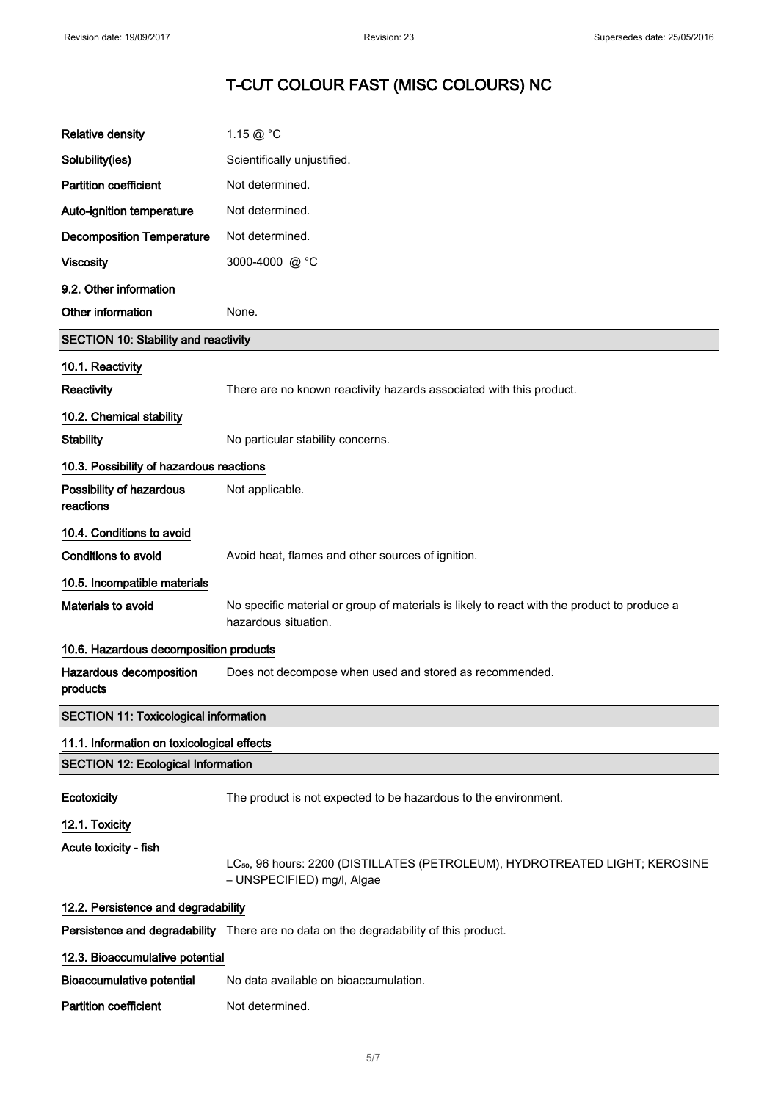| <b>Relative density</b>                      | 1.15 $@$ $^{\circ}$ C                                                                                                  |
|----------------------------------------------|------------------------------------------------------------------------------------------------------------------------|
| Solubility(ies)                              | Scientifically unjustified.                                                                                            |
| <b>Partition coefficient</b>                 | Not determined.                                                                                                        |
| Auto-ignition temperature                    | Not determined.                                                                                                        |
| <b>Decomposition Temperature</b>             | Not determined.                                                                                                        |
| <b>Viscosity</b>                             | 3000-4000 @ °C                                                                                                         |
| 9.2. Other information                       |                                                                                                                        |
| Other information                            | None.                                                                                                                  |
| <b>SECTION 10: Stability and reactivity</b>  |                                                                                                                        |
| 10.1. Reactivity                             |                                                                                                                        |
| Reactivity                                   | There are no known reactivity hazards associated with this product.                                                    |
| 10.2. Chemical stability                     |                                                                                                                        |
| <b>Stability</b>                             | No particular stability concerns.                                                                                      |
| 10.3. Possibility of hazardous reactions     |                                                                                                                        |
| Possibility of hazardous<br>reactions        | Not applicable.                                                                                                        |
| 10.4. Conditions to avoid                    |                                                                                                                        |
| <b>Conditions to avoid</b>                   | Avoid heat, flames and other sources of ignition.                                                                      |
| 10.5. Incompatible materials                 |                                                                                                                        |
| Materials to avoid                           | No specific material or group of materials is likely to react with the product to produce a<br>hazardous situation.    |
| 10.6. Hazardous decomposition products       |                                                                                                                        |
| Hazardous decomposition<br>products          | Does not decompose when used and stored as recommended.                                                                |
| <b>SECTION 11: Toxicological information</b> |                                                                                                                        |
| 11.1. Information on toxicological effects   |                                                                                                                        |
| <b>SECTION 12: Ecological Information</b>    |                                                                                                                        |
| Ecotoxicity                                  | The product is not expected to be hazardous to the environment.                                                        |
| 12.1. Toxicity                               |                                                                                                                        |
| Acute toxicity - fish                        | LC <sub>50</sub> , 96 hours: 2200 (DISTILLATES (PETROLEUM), HYDROTREATED LIGHT; KEROSINE<br>- UNSPECIFIED) mg/l, Algae |
| 12.2. Persistence and degradability          |                                                                                                                        |
|                                              | Persistence and degradability There are no data on the degradability of this product.                                  |
| 12.3. Bioaccumulative potential              |                                                                                                                        |
| <b>Bioaccumulative potential</b>             | No data available on bioaccumulation.                                                                                  |
| <b>Partition coefficient</b>                 | Not determined.                                                                                                        |
|                                              |                                                                                                                        |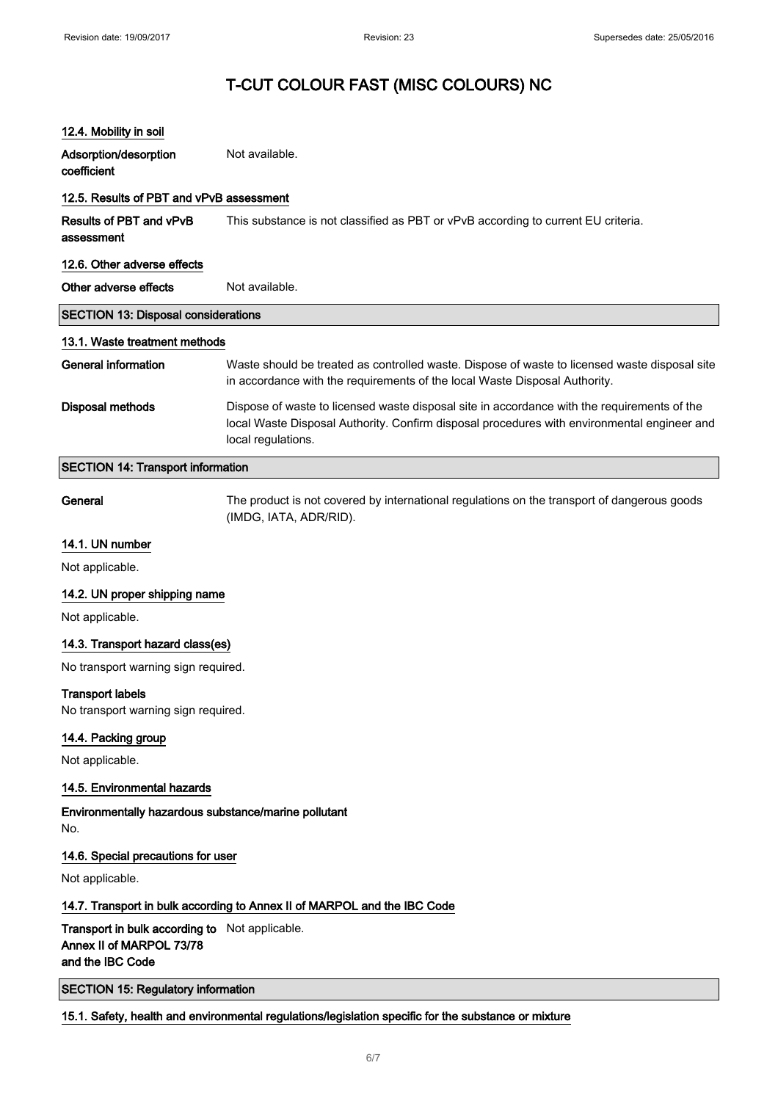| 12.4. Mobility in soil                                                                         |                                                                                                                                                                                                                  |  |
|------------------------------------------------------------------------------------------------|------------------------------------------------------------------------------------------------------------------------------------------------------------------------------------------------------------------|--|
| Adsorption/desorption<br>coefficient                                                           | Not available.                                                                                                                                                                                                   |  |
|                                                                                                |                                                                                                                                                                                                                  |  |
| 12.5. Results of PBT and vPvB assessment                                                       |                                                                                                                                                                                                                  |  |
| Results of PBT and vPvB<br>assessment                                                          | This substance is not classified as PBT or vPvB according to current EU criteria.                                                                                                                                |  |
| 12.6. Other adverse effects                                                                    |                                                                                                                                                                                                                  |  |
| Other adverse effects                                                                          | Not available.                                                                                                                                                                                                   |  |
| <b>SECTION 13: Disposal considerations</b>                                                     |                                                                                                                                                                                                                  |  |
| 13.1. Waste treatment methods                                                                  |                                                                                                                                                                                                                  |  |
| <b>General information</b>                                                                     | Waste should be treated as controlled waste. Dispose of waste to licensed waste disposal site<br>in accordance with the requirements of the local Waste Disposal Authority.                                      |  |
| <b>Disposal methods</b>                                                                        | Dispose of waste to licensed waste disposal site in accordance with the requirements of the<br>local Waste Disposal Authority. Confirm disposal procedures with environmental engineer and<br>local regulations. |  |
| <b>SECTION 14: Transport information</b>                                                       |                                                                                                                                                                                                                  |  |
| General                                                                                        | The product is not covered by international regulations on the transport of dangerous goods<br>(IMDG, IATA, ADR/RID).                                                                                            |  |
| 14.1. UN number                                                                                |                                                                                                                                                                                                                  |  |
| Not applicable.                                                                                |                                                                                                                                                                                                                  |  |
| 14.2. UN proper shipping name                                                                  |                                                                                                                                                                                                                  |  |
| Not applicable.                                                                                |                                                                                                                                                                                                                  |  |
| 14.3. Transport hazard class(es)                                                               |                                                                                                                                                                                                                  |  |
| No transport warning sign required.                                                            |                                                                                                                                                                                                                  |  |
| <b>Transport labels</b><br>No transport warning sign required.                                 |                                                                                                                                                                                                                  |  |
| 14.4. Packing group                                                                            |                                                                                                                                                                                                                  |  |
| Not applicable.                                                                                |                                                                                                                                                                                                                  |  |
| 14.5. Environmental hazards                                                                    |                                                                                                                                                                                                                  |  |
| Environmentally hazardous substance/marine pollutant<br>No.                                    |                                                                                                                                                                                                                  |  |
| 14.6. Special precautions for user                                                             |                                                                                                                                                                                                                  |  |
| Not applicable.                                                                                |                                                                                                                                                                                                                  |  |
|                                                                                                | 14.7. Transport in bulk according to Annex II of MARPOL and the IBC Code                                                                                                                                         |  |
| Transport in bulk according to Not applicable.<br>Annex II of MARPOL 73/78<br>and the IBC Code |                                                                                                                                                                                                                  |  |

SECTION 15: Regulatory information

15.1. Safety, health and environmental regulations/legislation specific for the substance or mixture